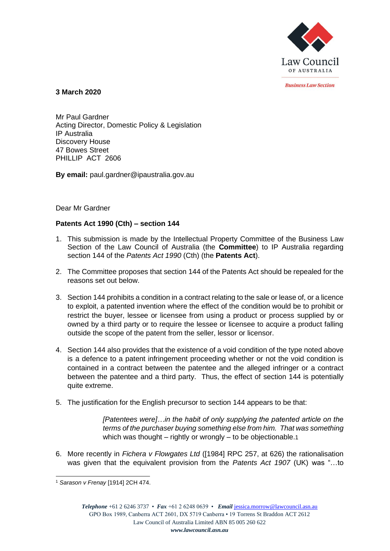

*<u>Rusiness Law Section</u>* 

**3 March 2020**

Mr Paul Gardner Acting Director, Domestic Policy & Legislation IP Australia Discovery House 47 Bowes Street PHILLIP ACT 2606

**By email:** paul.gardner@ipaustralia.gov.au

Dear Mr Gardner

## **Patents Act 1990 (Cth) – section 144**

- 1. This submission is made by the Intellectual Property Committee of the Business Law Section of the Law Council of Australia (the **Committee**) to IP Australia regarding section 144 of the *Patents Act 1990* (Cth) (the **Patents Act**).
- 2. The Committee proposes that section 144 of the Patents Act should be repealed for the reasons set out below.
- 3. Section 144 prohibits a condition in a contract relating to the sale or lease of, or a licence to exploit, a patented invention where the effect of the condition would be to prohibit or restrict the buyer, lessee or licensee from using a product or process supplied by or owned by a third party or to require the lessee or licensee to acquire a product falling outside the scope of the patent from the seller, lessor or licensor.
- 4. Section 144 also provides that the existence of a void condition of the type noted above is a defence to a patent infringement proceeding whether or not the void condition is contained in a contract between the patentee and the alleged infringer or a contract between the patentee and a third party. Thus, the effect of section 144 is potentially quite extreme.
- 5. The justification for the English precursor to section 144 appears to be that:

*[Patentees were]…in the habit of only supplying the patented article on the terms of the purchaser buying something else from him. That was something*  which was thought – rightly or wrongly – to be objectionable.1

6. More recently in *Fichera v Flowgates Ltd* ([1984] RPC 257, at 626) the rationalisation was given that the equivalent provision from the *Patents Act 1907* (UK) was "…to

<sup>1</sup> *Sarason v Frenay* [1914] 2CH 474.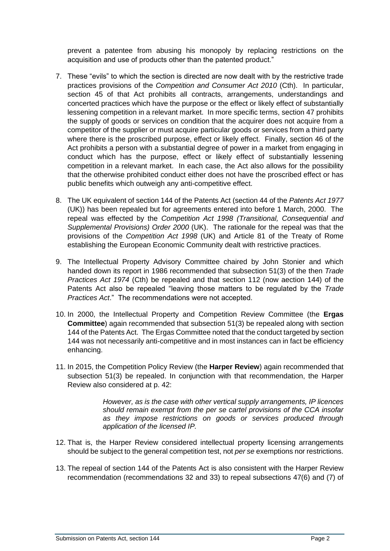prevent a patentee from abusing his monopoly by replacing restrictions on the acquisition and use of products other than the patented product."

- 7. These "evils" to which the section is directed are now dealt with by the restrictive trade practices provisions of the *Competition and Consumer Act 2010* (Cth). In particular, section 45 of that Act prohibits all contracts, arrangements, understandings and concerted practices which have the purpose or the effect or likely effect of substantially lessening competition in a relevant market. In more specific terms, section 47 prohibits the supply of goods or services on condition that the acquirer does not acquire from a competitor of the supplier or must acquire particular goods or services from a third party where there is the proscribed purpose, effect or likely effect. Finally, section 46 of the Act prohibits a person with a substantial degree of power in a market from engaging in conduct which has the purpose, effect or likely effect of substantially lessening competition in a relevant market. In each case, the Act also allows for the possibility that the otherwise prohibited conduct either does not have the proscribed effect or has public benefits which outweigh any anti-competitive effect.
- 8. The UK equivalent of section 144 of the Patents Act (section 44 of the *Patents Act 1977* (UK)) has been repealed but for agreements entered into before 1 March, 2000. The repeal was effected by the *Competition Act 1998 (Transitional, Consequential and Supplemental Provisions) Order 2000* (UK). The rationale for the repeal was that the provisions of the *Competition Act 1998* (UK) and Article 81 of the Treaty of Rome establishing the European Economic Community dealt with restrictive practices.
- 9. The Intellectual Property Advisory Committee chaired by John Stonier and which handed down its report in 1986 recommended that subsection 51(3) of the then *Trade Practices Act 1974* (Cth) be repealed and that section 112 (now aection 144) of the Patents Act also be repealed "leaving those matters to be regulated by the *Trade Practices Act*." The recommendations were not accepted.
- 10. In 2000, the Intellectual Property and Competition Review Committee (the **Ergas Committee**) again recommended that subsection 51(3) be repealed along with section 144 of the Patents Act. The Ergas Committee noted that the conduct targeted by section 144 was not necessarily anti-competitive and in most instances can in fact be efficiency enhancing.
- 11. In 2015, the Competition Policy Review (the **Harper Review**) again recommended that subsection 51(3) be repealed. In conjunction with that recommendation, the Harper Review also considered at p. 42:

*However, as is the case with other vertical supply arrangements, IP licences should remain exempt from the per se cartel provisions of the CCA insofar as they impose restrictions on goods or services produced through application of the licensed IP.*

- 12. That is, the Harper Review considered intellectual property licensing arrangements should be subject to the general competition test, not *per se* exemptions nor restrictions.
- 13. The repeal of section 144 of the Patents Act is also consistent with the Harper Review recommendation (recommendations 32 and 33) to repeal subsections 47(6) and (7) of